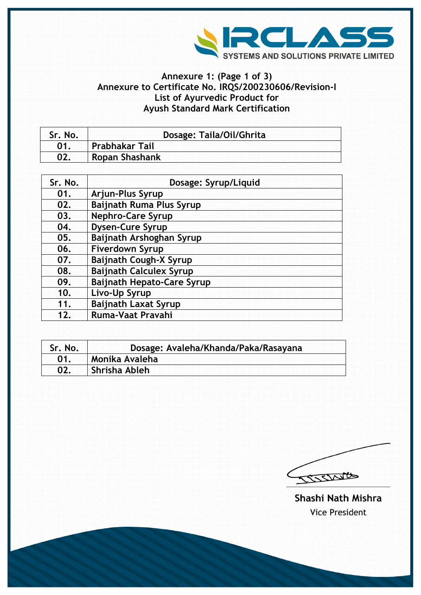

## **Annexure 1: (Page 1 of 3) Annexure to Certificate No. IRQS/200230606/Revision-I List of Ayurvedic Product for Ayush Standard Mark Certification**

| Sr. No. | Dosage: Taila/Oil/Ghrita |
|---------|--------------------------|
|         | <b>Prabhakar Tail</b>    |
|         | Ropan Shashank           |

| Sr. No. | Dosage: Syrup/Liquid              |
|---------|-----------------------------------|
| 01.     | Arjun-Plus Syrup                  |
| 02.     | <b>Baijnath Ruma Plus Syrup</b>   |
| 03.     | <b>Nephro-Care Syrup</b>          |
| 04.     | <b>Dysen-Cure Syrup</b>           |
| 05.     | Baijnath Arshoghan Syrup          |
| 06.     | <b>Fiverdown Syrup</b>            |
| 07.     | <b>Baijnath Cough-X Syrup</b>     |
| 08.     | <b>Baijnath Calculex Syrup</b>    |
| 09.     | <b>Baijnath Hepato-Care Syrup</b> |
| 10.     | Livo-Up Syrup                     |
| 11.     | <b>Baijnath Laxat Syrup</b>       |
| 12.     | Ruma-Vaat Pravahi                 |

| <b>Sr. No.</b> | Dosage: Avaleha/Khanda/Paka/Rasayana |
|----------------|--------------------------------------|
| <b>01</b>      | Monika Avaleha                       |
|                | Shrisha Ableh                        |

CISSING

Shashi Nath Mishra **Vice President**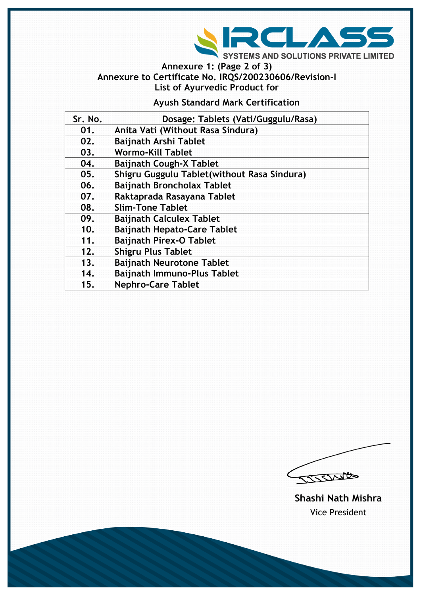

**Annexure 1: (Page 2 of 3) Annexure to Certificate No. IRQS/200230606/Revision-I List of Ayurvedic Product for** 

## **Ayush Standard Mark Certification**

| Sr. No. | Dosage: Tablets (Vati/Guggulu/Rasa)          |  |
|---------|----------------------------------------------|--|
| 01.     | Anita Vati (Without Rasa Sindura)            |  |
| 02.     | <b>Baijnath Arshi Tablet</b>                 |  |
| 03.     | <b>Wormo-Kill Tablet</b>                     |  |
| 04.     | <b>Baijnath Cough-X Tablet</b>               |  |
| 05.     | Shigru Guggulu Tablet (without Rasa Sindura) |  |
| 06.     | <b>Baijnath Broncholax Tablet</b>            |  |
| 07.     | Raktaprada Rasayana Tablet                   |  |
| 08.     | <b>Slim-Tone Tablet</b>                      |  |
| 09.     | <b>Baijnath Calculex Tablet</b>              |  |
| 10.     | <b>Baijnath Hepato-Care Tablet</b>           |  |
| 11.     | <b>Baijnath Pirex-O Tablet</b>               |  |
| 12.     | <b>Shigru Plus Tablet</b>                    |  |
| 13.     | <b>Baijnath Neurotone Tablet</b>             |  |
| 14.     | <b>Baijnath Immuno-Plus Tablet</b>           |  |
| 15.     | <b>Nephro-Care Tablet</b>                    |  |

COSSINGS

Shashi Nath Mishra **Vice President**